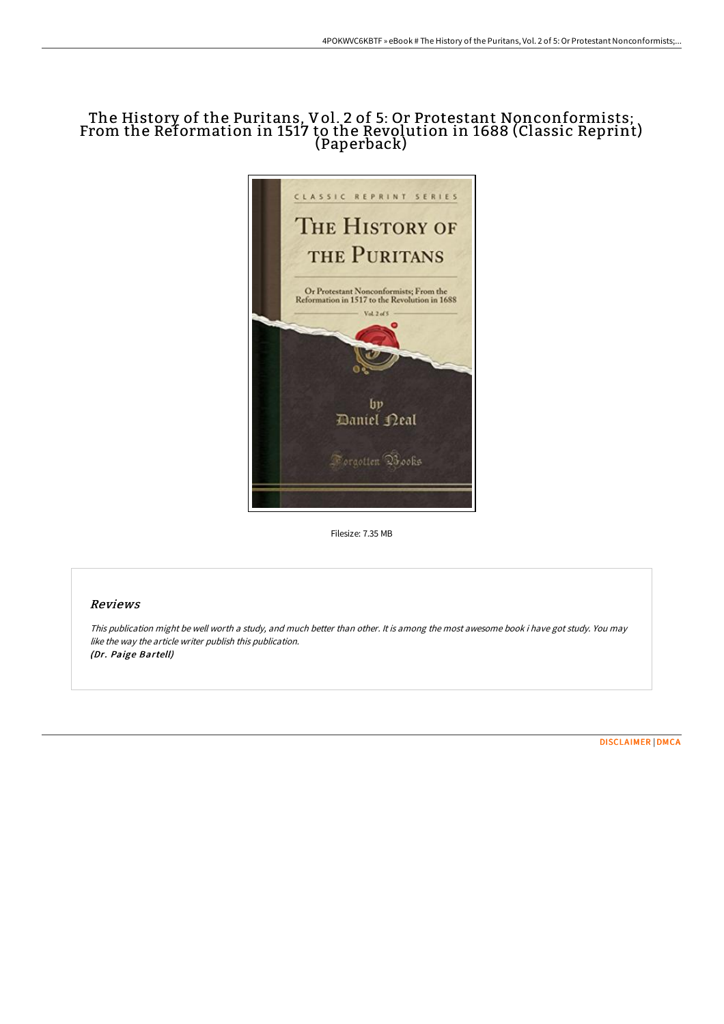# The History of the Puritans, Vol. 2 of 5: Or Protestant Nonconformists; From the Reformation in 1517 to the Revolution in 1688 (Classic Reprint) (Paperback)



Filesize: 7.35 MB

## Reviews

This publication might be well worth <sup>a</sup> study, and much better than other. It is among the most awesome book i have got study. You may like the way the article writer publish this publication. (Dr. Paige Bartell)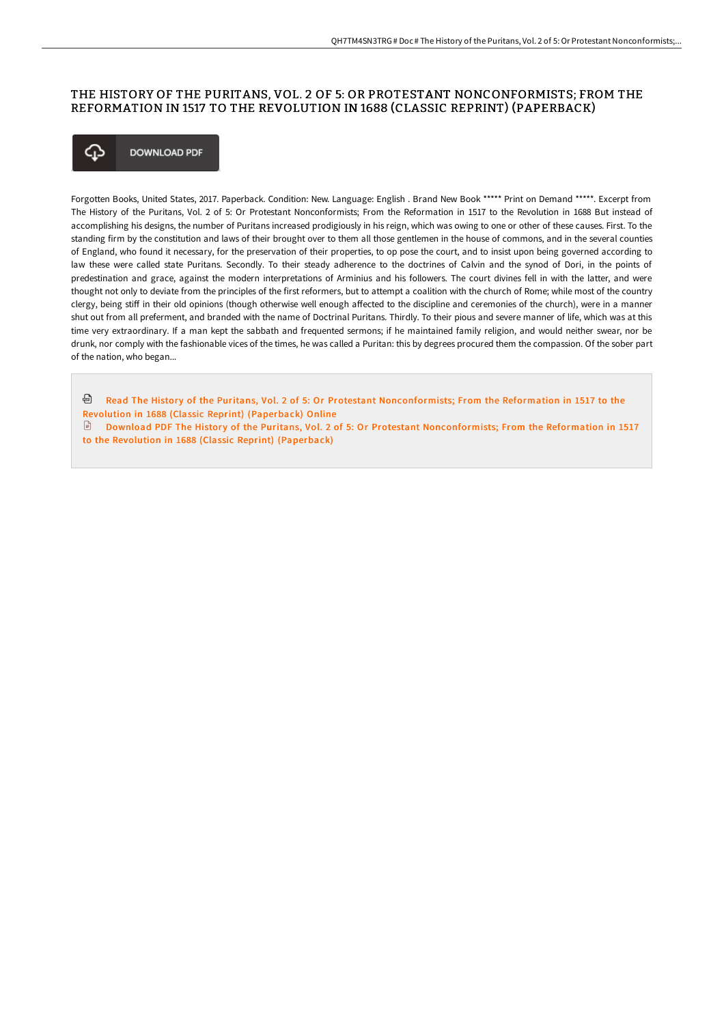#### THE HISTORY OF THE PURITANS, VOL. 2 OF 5: OR PROTESTANT NONCONFORMISTS; FROM THE REFORMATION IN 1517 TO THE REVOLUTION IN 1688 (CLASSIC REPRINT) (PAPERBACK)



Forgotten Books, United States, 2017. Paperback. Condition: New. Language: English . Brand New Book \*\*\*\*\* Print on Demand \*\*\*\*\*. Excerpt from The History of the Puritans, Vol. 2 of 5: Or Protestant Nonconformists; From the Reformation in 1517 to the Revolution in 1688 But instead of accomplishing his designs, the number of Puritans increased prodigiously in his reign, which was owing to one or other of these causes. First. To the standing firm by the constitution and laws of their brought over to them all those gentlemen in the house of commons, and in the several counties of England, who found it necessary, for the preservation of their properties, to op pose the court, and to insist upon being governed according to law these were called state Puritans. Secondly. To their steady adherence to the doctrines of Calvin and the synod of Dori, in the points of predestination and grace, against the modern interpretations of Arminius and his followers. The court divines fell in with the latter, and were thought not only to deviate from the principles of the first reformers, but to attempt a coalition with the church of Rome; while most of the country clergy, being stiff in their old opinions (though otherwise well enough affected to the discipline and ceremonies of the church), were in a manner shut out from all preferment, and branded with the name of Doctrinal Puritans. Thirdly. To their pious and severe manner of life, which was at this time very extraordinary. If a man kept the sabbath and frequented sermons; if he maintained family religion, and would neither swear, nor be drunk, nor comply with the fashionable vices of the times, he was called a Puritan: this by degrees procured them the compassion. Of the sober part of the nation, who began...

- <sup>a</sup> Read The History of the Puritans, Vol. 2 of 5: Or Protestant [Nonconformists;](http://bookera.tech/the-history-of-the-puritans-vol-2-of-5-or-protes.html) From the Reformation in 1517 to the Revolution in 1688 (Classic Reprint) (Paperback) Online
- $\Box$  Download PDF The History of the Puritans, Vol. 2 of 5: Or Protestant [Nonconformists;](http://bookera.tech/the-history-of-the-puritans-vol-2-of-5-or-protes.html) From the Reformation in 1517 to the Revolution in 1688 (Classic Reprint) (Paperback)